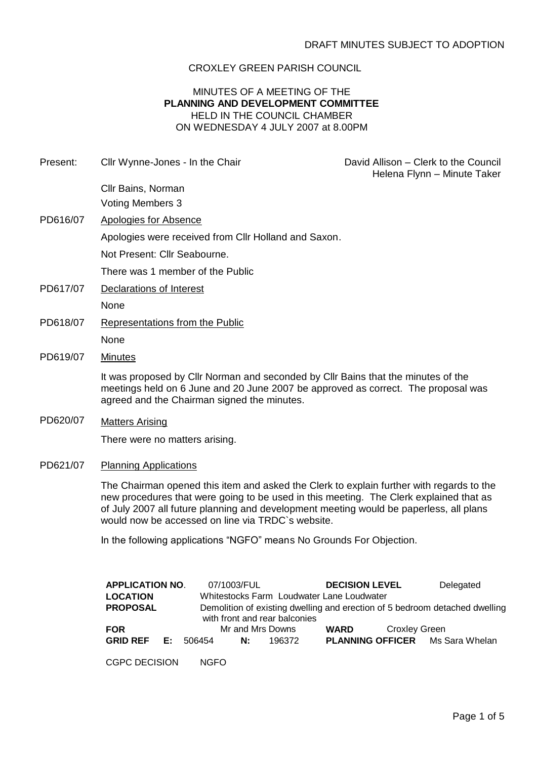## CROXLEY GREEN PARISH COUNCIL

## MINUTES OF A MEETING OF THE **PLANNING AND DEVELOPMENT COMMITTEE** HELD IN THE COUNCIL CHAMBER ON WEDNESDAY 4 JULY 2007 at 8.00PM

Present: Cllr Wynne-Jones - In the Chair **David Allison – Clerk to the Council**  Helena Flynn – Minute Taker Cllr Bains, Norman Voting Members 3 PD616/07 Apologies for Absence Apologies were received from Cllr Holland and Saxon. Not Present: Cllr Seabourne. There was 1 member of the Public

- PD617/07 Declarations of Interest None
- PD618/07 Representations from the Public None
- PD619/07 Minutes

It was proposed by Cllr Norman and seconded by Cllr Bains that the minutes of the meetings held on 6 June and 20 June 2007 be approved as correct. The proposal was agreed and the Chairman signed the minutes.

PD620/07 Matters Arising

There were no matters arising.

PD621/07 Planning Applications

The Chairman opened this item and asked the Clerk to explain further with regards to the new procedures that were going to be used in this meeting. The Clerk explained that as of July 2007 all future planning and development meeting would be paperless, all plans would now be accessed on line via TRDC`s website.

In the following applications "NGFO" means No Grounds For Objection.

| <b>APPLICATION NO.</b> |    |             | 07/1003/FUL                                                                 |                                           | <b>DECISION LEVEL</b> |                      | Delegated                              |  |  |
|------------------------|----|-------------|-----------------------------------------------------------------------------|-------------------------------------------|-----------------------|----------------------|----------------------------------------|--|--|
| <b>LOCATION</b>        |    |             |                                                                             | Whitestocks Farm Loudwater Lane Loudwater |                       |                      |                                        |  |  |
| <b>PROPOSAL</b>        |    |             | Demolition of existing dwelling and erection of 5 bedroom detached dwelling |                                           |                       |                      |                                        |  |  |
|                        |    |             |                                                                             | with front and rear balconies             |                       |                      |                                        |  |  |
| <b>FOR</b>             |    |             |                                                                             | Mr and Mrs Downs                          | WARD                  | <b>Croxley Green</b> |                                        |  |  |
| <b>GRID REF</b>        | E: | 506454      | N:                                                                          | 196372                                    |                       |                      | <b>PLANNING OFFICER</b> Ms Sara Whelan |  |  |
|                        |    |             |                                                                             |                                           |                       |                      |                                        |  |  |
| <b>CGPC DECISION</b>   |    | <b>NGFO</b> |                                                                             |                                           |                       |                      |                                        |  |  |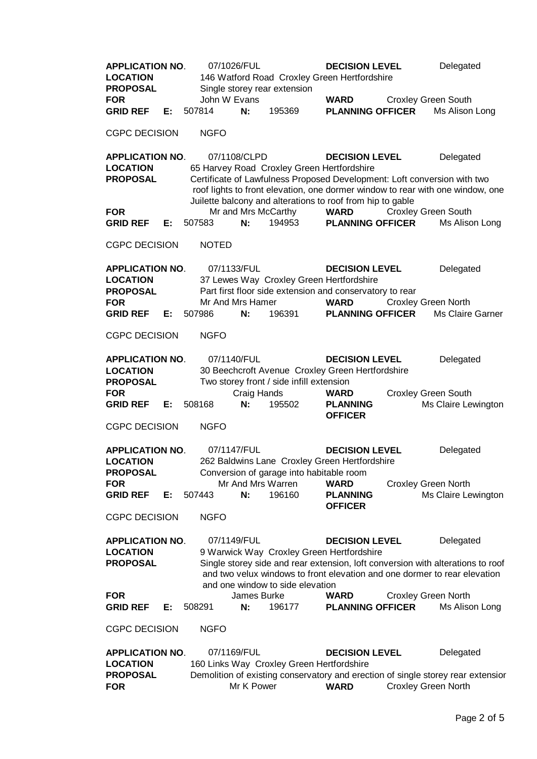**APPLICATION NO**. 07/1026/FUL **DECISION LEVEL** Delegated **LOCATION** 146 Watford Road Croxley Green Hertfordshire **PROPOSAL** Single storey rear extension **FOR** John W Evans **WARD** Croxley Green South **GRID REF E:** 507814 **N:** 195369 **PLANNING OFFICER** Ms Alison Long CGPC DECISION NGFO **APPLICATION NO**. 07/1108/CLPD **DECISION LEVEL** Delegated **LOCATION** 65 Harvey Road Croxley Green Hertfordshire **PROPOSAL** Certificate of Lawfulness Proposed Development: Loft conversion with two roof lights to front elevation, one dormer window to rear with one window, one Juilette balcony and alterations to roof from hip to gable **FOR** Mr and Mrs McCarthy **WARD** Croxley Green South **GRID REF E:** 507583 **N:** 194953 **PLANNING OFFICER** Ms Alison Long CGPC DECISION NOTED **APPLICATION NO**. 07/1133/FUL **DECISION LEVEL** Delegated **LOCATION** 37 Lewes Way Croxley Green Hertfordshire **PROPOSAL** Part first floor side extension and conservatory to rear **FOR** Mr And Mrs Hamer **WARD** Croxley Green North **GRID REF E:** 507986 **N:** 196391 **PLANNING OFFICER** Ms Claire Garner CGPC DECISION NGFO **APPLICATION NO**. 07/1140/FUL **DECISION LEVEL** Delegated **LOCATION** 30 Beechcroft Avenue Croxley Green Hertfordshire **PROPOSAL** Two storey front / side infill extension **FOR** Craig Hands **WARD** Croxley Green South **GRID REF E:** 508168 **N:** 195502 **PLANNING OFFICER** Ms Claire Lewington CGPC DECISION NGFO **APPLICATION NO**. 07/1147/FUL **DECISION LEVEL** Delegated **LOCATION** 262 Baldwins Lane Croxley Green Hertfordshire **PROPOSAL** Conversion of garage into habitable room **FOR** Mr And Mrs Warren **WARD** Croxley Green North **GRID REF E:** 507443 **N:** 196160 **PLANNING OFFICER** Ms Claire Lewington CGPC DECISION NGFO **APPLICATION NO**. 07/1149/FUL **DECISION LEVEL** Delegated **LOCATION** 9 Warwick Way Croxley Green Hertfordshire **PROPOSAL** Single storey side and rear extension, loft conversion with alterations to roof and two velux windows to front elevation and one dormer to rear elevation and one window to side elevation **FOR** James Burke **WARD** Croxley Green North **GRID REF E:** 508291 **N:** 196177 **PLANNING OFFICER** Ms Alison Long CGPC DECISION NGFO **APPLICATION NO**. 07/1169/FUL **DECISION LEVEL** Delegated **LOCATION** 160 Links Way Croxley Green Hertfordshire **PROPOSAL** Demolition of existing conservatory and erection of single storey rear extension **FOR** Mr K Power **WARD** Croxley Green North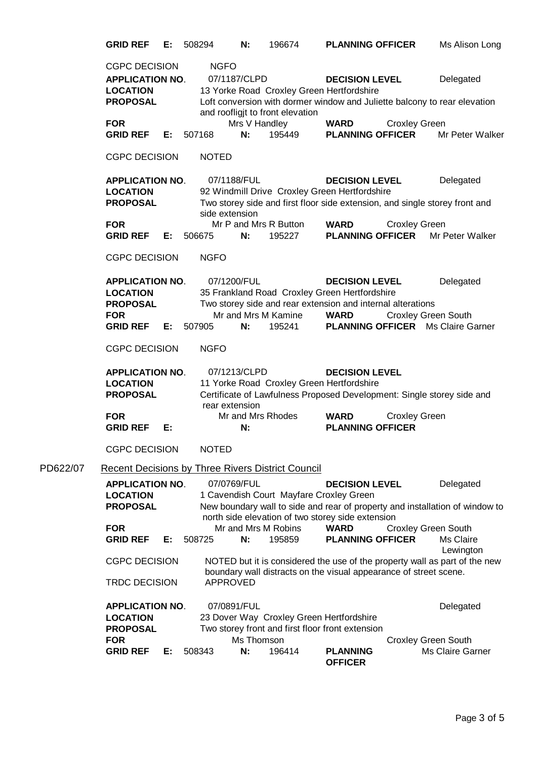**GRID REF E:** 508294 **N:** 196674 **PLANNING OFFICER** Ms Alison Long CGPC DECISION NGFO **APPLICATION NO**. 07/1187/CLPD **DECISION LEVEL** Delegated **LOCATION** 13 Yorke Road Croxley Green Hertfordshire **PROPOSAL** Loft conversion with dormer window and Juliette balcony to rear elevation and roofligjt to front elevation **FOR** Mrs V Handley **WARD** Croxley Green **GRID REF E:** 507168 **N:** 195449 **PLANNING OFFICER** Mr Peter Walker CGPC DECISION NOTED **APPLICATION NO**. 07/1188/FUL **DECISION LEVEL** Delegated **LOCATION** 92 Windmill Drive Croxley Green Hertfordshire **PROPOSAL** Two storey side and first floor side extension, and single storey front and side extension **FOR** Mr P and Mrs R Button **WARD** Croxley Green **GRID REF E:** 506675 **N:** 195227 **PLANNING OFFICER** Mr Peter Walker CGPC DECISION NGFO **APPLICATION NO**. 07/1200/FUL **DECISION LEVEL** Delegated **LOCATION** 35 Frankland Road Croxley Green Hertfordshire **PROPOSAL** Two storey side and rear extension and internal alterations **FOR** Mr and Mrs M Kamine **WARD** Croxley Green South **GRID REF E:** 507905 **N:** 195241 **PLANNING OFFICER** Ms Claire Garner CGPC DECISION NGFO **APPLICATION NO**. 07/1213/CLPD **DECISION LEVEL** LOCATION 11 Yorke Road Croxley Green Hertfordshire **PROPOSAL** Certificate of Lawfulness Proposed Development: Single storey side and rear extension **FOR** Mr and Mrs Rhodes **WARD** Croxley Green **GRID REF E: N: PLANNING OFFICER** CGPC DECISION NOTED PD622/07 Recent Decisions by Three Rivers District Council **APPLICATION NO**. 07/0769/FUL **DECISION LEVEL** Delegated **LOCATION** 1 Cavendish Court Mayfare Croxley Green **PROPOSAL** New boundary wall to side and rear of property and installation of window to north side elevation of two storey side extension **FOR** Mr and Mrs M Robins **WARD** Croxley Green South **GRID REF E:** 508725 **N:** 195859 **PLANNING OFFICER** Ms Claire Lewington CGPC DECISION NOTED but it is considered the use of the property wall as part of the new boundary wall distracts on the visual appearance of street scene. TRDC DECISION APPROVED **APPLICATION NO.** 07/0891/FUL 07/0891/FUL Delegated **LOCATION** 23 Dover Way Croxley Green Hertfordshire **PROPOSAL** Two storey front and first floor front extension **FOR** Ms Thomson Croxley Green South **GRID REF E:** 508343 **N:** 196414 **PLANNING OFFICER** Ms Claire Garner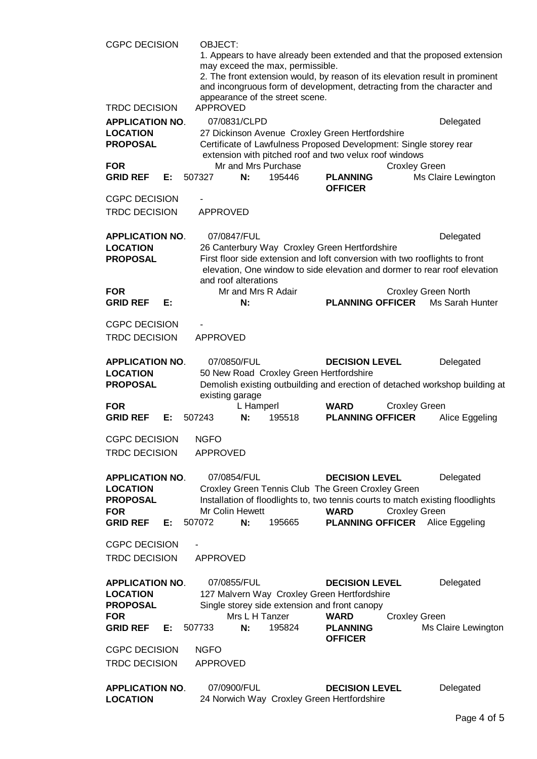| <b>CGPC DECISION</b>                                                                          |    | OBJECT:<br>1. Appears to have already been extended and that the proposed extension<br>may exceed the max, permissible.<br>2. The front extension would, by reason of its elevation result in prominent<br>and incongruous form of development, detracting from the character and<br>appearance of the street scene.<br><b>APPROVED</b> |                                      |                                         |                                                                                                                                                                                              |                      |                                                                                                                                                                                                     |  |  |
|-----------------------------------------------------------------------------------------------|----|-----------------------------------------------------------------------------------------------------------------------------------------------------------------------------------------------------------------------------------------------------------------------------------------------------------------------------------------|--------------------------------------|-----------------------------------------|----------------------------------------------------------------------------------------------------------------------------------------------------------------------------------------------|----------------------|-----------------------------------------------------------------------------------------------------------------------------------------------------------------------------------------------------|--|--|
| <b>TRDC DECISION</b><br><b>APPLICATION NO.</b><br><b>LOCATION</b><br><b>PROPOSAL</b>          |    |                                                                                                                                                                                                                                                                                                                                         | 07/0831/CLPD                         |                                         | Delegated<br>27 Dickinson Avenue Croxley Green Hertfordshire<br>Certificate of Lawfulness Proposed Development: Single storey rear<br>extension with pitched roof and two velux roof windows |                      |                                                                                                                                                                                                     |  |  |
| <b>FOR</b><br><b>GRID REF</b>                                                                 | Е: | 507327                                                                                                                                                                                                                                                                                                                                  | N:                                   | Mr and Mrs Purchase<br>195446           | <b>PLANNING</b><br><b>OFFICER</b>                                                                                                                                                            | <b>Croxley Green</b> | Ms Claire Lewington                                                                                                                                                                                 |  |  |
| <b>CGPC DECISION</b><br><b>TRDC DECISION</b>                                                  |    | <b>APPROVED</b>                                                                                                                                                                                                                                                                                                                         |                                      |                                         |                                                                                                                                                                                              |                      |                                                                                                                                                                                                     |  |  |
| <b>APPLICATION NO.</b><br><b>LOCATION</b><br><b>PROPOSAL</b><br><b>FOR</b>                    |    |                                                                                                                                                                                                                                                                                                                                         | 07/0847/FUL<br>and roof alterations  | Mr and Mrs R Adair                      | 26 Canterbury Way Croxley Green Hertfordshire                                                                                                                                                |                      | Delegated<br>First floor side extension and loft conversion with two rooflights to front<br>elevation, One window to side elevation and dormer to rear roof elevation<br><b>Croxley Green North</b> |  |  |
| <b>GRID REF</b>                                                                               | E: |                                                                                                                                                                                                                                                                                                                                         | N:                                   |                                         | <b>PLANNING OFFICER</b>                                                                                                                                                                      |                      | Ms Sarah Hunter                                                                                                                                                                                     |  |  |
| <b>CGPC DECISION</b><br><b>TRDC DECISION</b>                                                  |    | APPROVED                                                                                                                                                                                                                                                                                                                                |                                      |                                         |                                                                                                                                                                                              |                      |                                                                                                                                                                                                     |  |  |
| <b>APPLICATION NO.</b><br><b>LOCATION</b><br><b>PROPOSAL</b>                                  |    | existing garage                                                                                                                                                                                                                                                                                                                         | 07/0850/FUL                          | 50 New Road Croxley Green Hertfordshire | <b>DECISION LEVEL</b>                                                                                                                                                                        |                      | Delegated<br>Demolish existing outbuilding and erection of detached workshop building at                                                                                                            |  |  |
| <b>FOR</b><br><b>GRID REF</b>                                                                 | E: | 507243                                                                                                                                                                                                                                                                                                                                  | L Hamperl<br>N:                      | 195518                                  | <b>WARD</b><br><b>PLANNING OFFICER</b>                                                                                                                                                       | <b>Croxley Green</b> | Alice Eggeling                                                                                                                                                                                      |  |  |
| <b>CGPC DECISION</b><br><b>TRDC DECISION</b>                                                  |    | <b>NGFO</b><br><b>APPROVED</b>                                                                                                                                                                                                                                                                                                          |                                      |                                         |                                                                                                                                                                                              |                      |                                                                                                                                                                                                     |  |  |
| <b>APPLICATION NO.</b><br><b>LOCATION</b><br><b>PROPOSAL</b><br><b>FOR</b><br><b>GRID REF</b> | E: | 507072                                                                                                                                                                                                                                                                                                                                  | 07/0854/FUL<br>Mr Colin Hewett<br>N: | 195665                                  | <b>DECISION LEVEL</b><br>Croxley Green Tennis Club The Green Croxley Green<br><b>WARD</b><br><b>PLANNING OFFICER</b>                                                                         | <b>Croxley Green</b> | Delegated<br>Installation of floodlights to, two tennis courts to match existing floodlights<br>Alice Eggeling                                                                                      |  |  |
| <b>CGPC DECISION</b><br><b>TRDC DECISION</b>                                                  |    | <b>APPROVED</b>                                                                                                                                                                                                                                                                                                                         |                                      |                                         |                                                                                                                                                                                              |                      |                                                                                                                                                                                                     |  |  |
| <b>APPLICATION NO.</b><br><b>LOCATION</b><br><b>PROPOSAL</b><br><b>FOR</b>                    |    |                                                                                                                                                                                                                                                                                                                                         | 07/0855/FUL<br>Mrs L H Tanzer        |                                         | <b>DECISION LEVEL</b><br>127 Malvern Way Croxley Green Hertfordshire<br>Single storey side extension and front canopy<br><b>WARD</b>                                                         | <b>Croxley Green</b> | Delegated                                                                                                                                                                                           |  |  |
| <b>GRID REF</b>                                                                               | Е: | 507733                                                                                                                                                                                                                                                                                                                                  | N:                                   | 195824                                  | <b>PLANNING</b><br><b>OFFICER</b>                                                                                                                                                            |                      | Ms Claire Lewington                                                                                                                                                                                 |  |  |
| <b>CGPC DECISION</b>                                                                          |    | <b>NGFO</b>                                                                                                                                                                                                                                                                                                                             |                                      |                                         |                                                                                                                                                                                              |                      |                                                                                                                                                                                                     |  |  |
| <b>TRDC DECISION</b>                                                                          |    | <b>APPROVED</b>                                                                                                                                                                                                                                                                                                                         |                                      |                                         |                                                                                                                                                                                              |                      |                                                                                                                                                                                                     |  |  |
| <b>APPLICATION NO.</b><br><b>LOCATION</b>                                                     |    |                                                                                                                                                                                                                                                                                                                                         | 07/0900/FUL                          |                                         | <b>DECISION LEVEL</b><br>24 Norwich Way Croxley Green Hertfordshire                                                                                                                          |                      | Delegated                                                                                                                                                                                           |  |  |